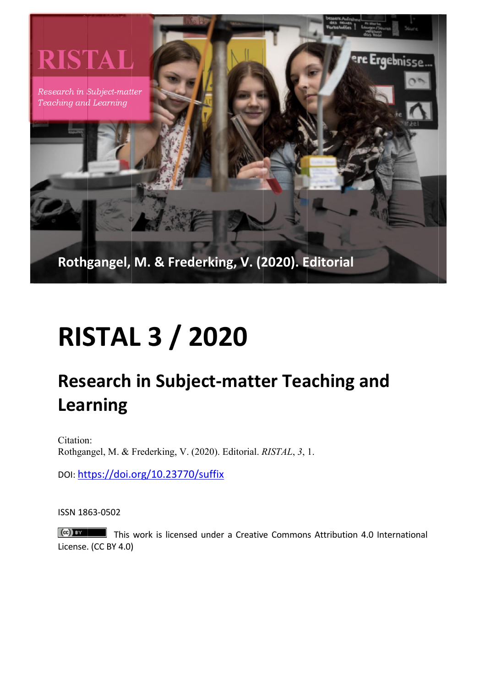

## **RISTAL 3 / 2020**

## **Research in Subject-matter Teaching and Learning**

Citation: Rothgangel, M. & Frederking, V. (2020). Editorial. RISTAL, 3, 1.

DOI: https://doi.org/10.23770/suffix

ISSN 1863-0502

 $\left(\mathrm{cc}\right)$  BY  $\blacksquare$  This work is licensed under a Creative Commons Attribution 4.0 International License. (CC BY 4.0)